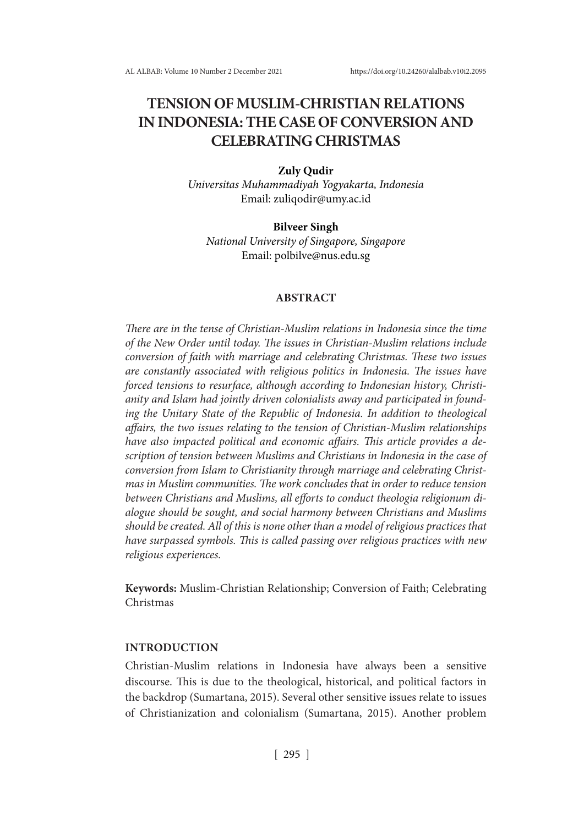# **TENSION OF MUSLIM-CHRISTIAN RELATIONS IN INDONESIA: THE CASE OF CONVERSION AND CELEBRATING CHRISTMAS**

## **Zuly Qudir**

*Universitas Muhammadiyah Yogyakarta, Indonesia* Email: zuliqodir@umy.ac.id

### **Bilveer Singh**

*National University of Singapore, Singapore* Email: polbilve@nus.edu.sg

## **ABSTRACT**

*There are in the tense of Christian-Muslim relations in Indonesia since the time of the New Order until today. The issues in Christian-Muslim relations include conversion of faith with marriage and celebrating Christmas. These two issues are constantly associated with religious politics in Indonesia. The issues have forced tensions to resurface, although according to Indonesian history, Christianity and Islam had jointly driven colonialists away and participated in founding the Unitary State of the Republic of Indonesia. In addition to theological affairs, the two issues relating to the tension of Christian-Muslim relationships have also impacted political and economic affairs. This article provides a description of tension between Muslims and Christians in Indonesia in the case of conversion from Islam to Christianity through marriage and celebrating Christmas in Muslim communities. The work concludes that in order to reduce tension between Christians and Muslims, all efforts to conduct theologia religionum dialogue should be sought, and social harmony between Christians and Muslims should be created. All of this is none other than a model of religious practices that have surpassed symbols. This is called passing over religious practices with new religious experiences.*

**Keywords:** Muslim-Christian Relationship; Conversion of Faith; Celebrating Christmas

### **INTRODUCTION**

Christian-Muslim relations in Indonesia have always been a sensitive discourse. This is due to the theological, historical, and political factors in the backdrop (Sumartana, 2015). Several other sensitive issues relate to issues of Christianization and colonialism (Sumartana, 2015). Another problem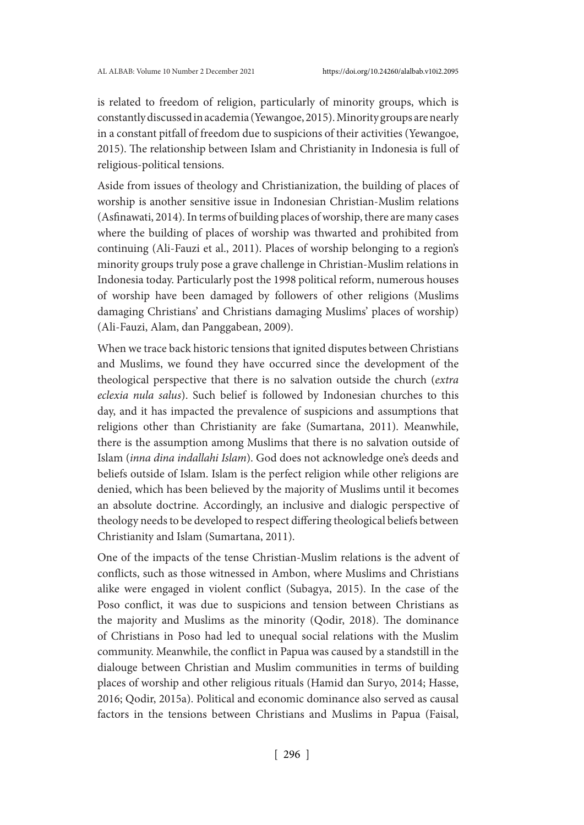is related to freedom of religion, particularly of minority groups, which is constantly discussed in academia (Yewangoe, 2015). Minority groups are nearly in a constant pitfall of freedom due to suspicions of their activities (Yewangoe, 2015). The relationship between Islam and Christianity in Indonesia is full of religious-political tensions.

Aside from issues of theology and Christianization, the building of places of worship is another sensitive issue in Indonesian Christian-Muslim relations (Asfinawati, 2014). In terms of building places of worship, there are many cases where the building of places of worship was thwarted and prohibited from continuing (Ali-Fauzi et al., 2011). Places of worship belonging to a region's minority groups truly pose a grave challenge in Christian-Muslim relations in Indonesia today. Particularly post the 1998 political reform, numerous houses of worship have been damaged by followers of other religions (Muslims damaging Christians' and Christians damaging Muslims' places of worship) (Ali-Fauzi, Alam, dan Panggabean, 2009).

When we trace back historic tensions that ignited disputes between Christians and Muslims, we found they have occurred since the development of the theological perspective that there is no salvation outside the church (*extra eclexia nula salus*). Such belief is followed by Indonesian churches to this day, and it has impacted the prevalence of suspicions and assumptions that religions other than Christianity are fake (Sumartana, 2011). Meanwhile, there is the assumption among Muslims that there is no salvation outside of Islam (*inna dina indallahi Islam*). God does not acknowledge one's deeds and beliefs outside of Islam. Islam is the perfect religion while other religions are denied, which has been believed by the majority of Muslims until it becomes an absolute doctrine. Accordingly, an inclusive and dialogic perspective of theology needs to be developed to respect differing theological beliefs between Christianity and Islam (Sumartana, 2011).

One of the impacts of the tense Christian-Muslim relations is the advent of conflicts, such as those witnessed in Ambon, where Muslims and Christians alike were engaged in violent conflict (Subagya, 2015). In the case of the Poso conflict, it was due to suspicions and tension between Christians as the majority and Muslims as the minority (Qodir, 2018). The dominance of Christians in Poso had led to unequal social relations with the Muslim community. Meanwhile, the conflict in Papua was caused by a standstill in the dialouge between Christian and Muslim communities in terms of building places of worship and other religious rituals (Hamid dan Suryo, 2014; Hasse, 2016; Qodir, 2015a). Political and economic dominance also served as causal factors in the tensions between Christians and Muslims in Papua (Faisal,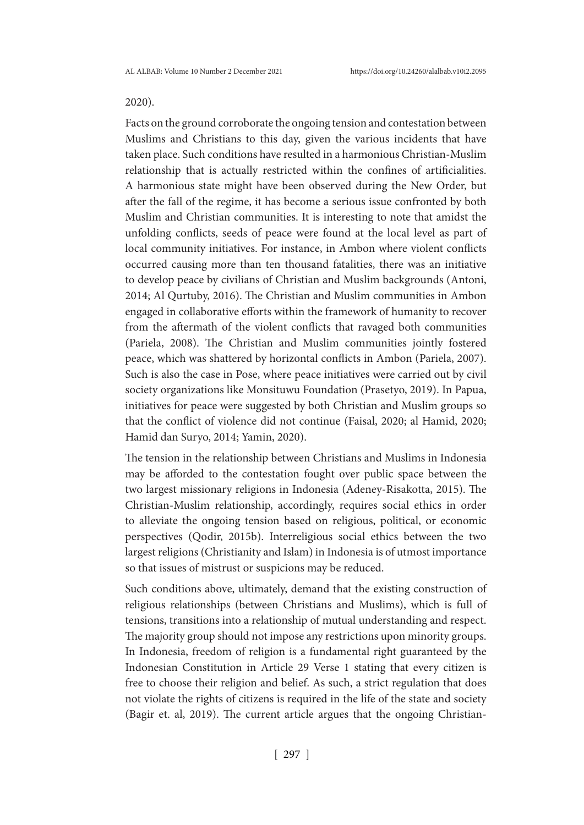# 2020).

Facts on the ground corroborate the ongoing tension and contestation between Muslims and Christians to this day, given the various incidents that have taken place. Such conditions have resulted in a harmonious Christian-Muslim relationship that is actually restricted within the confines of artificialities. A harmonious state might have been observed during the New Order, but after the fall of the regime, it has become a serious issue confronted by both Muslim and Christian communities. It is interesting to note that amidst the unfolding conflicts, seeds of peace were found at the local level as part of local community initiatives. For instance, in Ambon where violent conflicts occurred causing more than ten thousand fatalities, there was an initiative to develop peace by civilians of Christian and Muslim backgrounds (Antoni, 2014; Al Qurtuby, 2016). The Christian and Muslim communities in Ambon engaged in collaborative efforts within the framework of humanity to recover from the aftermath of the violent conflicts that ravaged both communities (Pariela, 2008). The Christian and Muslim communities jointly fostered peace, which was shattered by horizontal conflicts in Ambon (Pariela, 2007). Such is also the case in Pose, where peace initiatives were carried out by civil society organizations like Monsituwu Foundation (Prasetyo, 2019). In Papua, initiatives for peace were suggested by both Christian and Muslim groups so that the conflict of violence did not continue (Faisal, 2020; al Hamid, 2020; Hamid dan Suryo, 2014; Yamin, 2020).

The tension in the relationship between Christians and Muslims in Indonesia may be afforded to the contestation fought over public space between the two largest missionary religions in Indonesia (Adeney-Risakotta, 2015). The Christian-Muslim relationship, accordingly, requires social ethics in order to alleviate the ongoing tension based on religious, political, or economic perspectives (Qodir, 2015b). Interreligious social ethics between the two largest religions (Christianity and Islam) in Indonesia is of utmost importance so that issues of mistrust or suspicions may be reduced.

Such conditions above, ultimately, demand that the existing construction of religious relationships (between Christians and Muslims), which is full of tensions, transitions into a relationship of mutual understanding and respect. The majority group should not impose any restrictions upon minority groups. In Indonesia, freedom of religion is a fundamental right guaranteed by the Indonesian Constitution in Article 29 Verse 1 stating that every citizen is free to choose their religion and belief. As such, a strict regulation that does not violate the rights of citizens is required in the life of the state and society (Bagir et. al, 2019). The current article argues that the ongoing Christian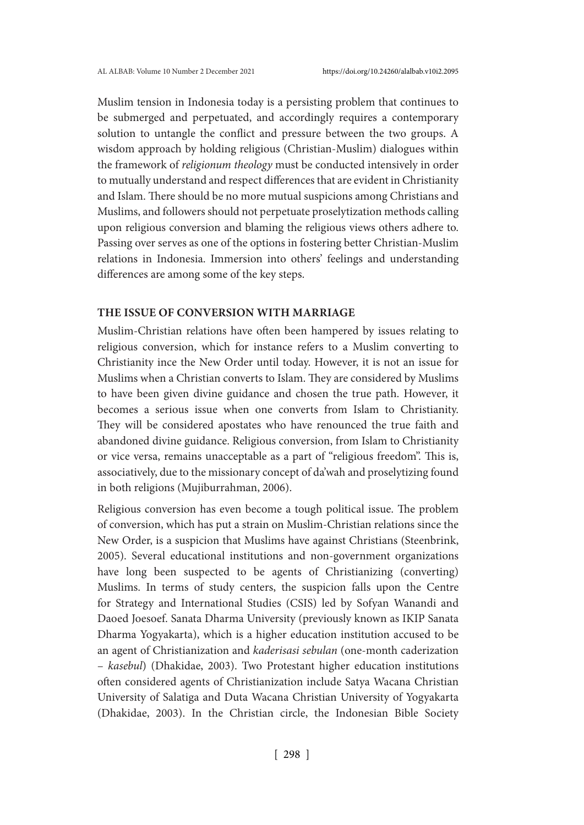Muslim tension in Indonesia today is a persisting problem that continues to be submerged and perpetuated, and accordingly requires a contemporary solution to untangle the conflict and pressure between the two groups. A wisdom approach by holding religious (Christian-Muslim) dialogues within the framework of *religionum theology* must be conducted intensively in order to mutually understand and respect differences that are evident in Christianity and Islam. There should be no more mutual suspicions among Christians and Muslims, and followers should not perpetuate proselytization methods calling upon religious conversion and blaming the religious views others adhere to. Passing over serves as one of the options in fostering better Christian-Muslim relations in Indonesia. Immersion into others' feelings and understanding differences are among some of the key steps.

## **THE ISSUE OF CONVERSION WITH MARRIAGE**

Muslim-Christian relations have often been hampered by issues relating to religious conversion, which for instance refers to a Muslim converting to Christianity ince the New Order until today. However, it is not an issue for Muslims when a Christian converts to Islam. They are considered by Muslims to have been given divine guidance and chosen the true path. However, it becomes a serious issue when one converts from Islam to Christianity. They will be considered apostates who have renounced the true faith and abandoned divine guidance. Religious conversion, from Islam to Christianity or vice versa, remains unacceptable as a part of "religious freedom". This is, associatively, due to the missionary concept of da'wah and proselytizing found in both religions (Mujiburrahman, 2006).

Religious conversion has even become a tough political issue. The problem of conversion, which has put a strain on Muslim-Christian relations since the New Order, is a suspicion that Muslims have against Christians (Steenbrink, 2005). Several educational institutions and non-government organizations have long been suspected to be agents of Christianizing (converting) Muslims. In terms of study centers, the suspicion falls upon the Centre for Strategy and International Studies (CSIS) led by Sofyan Wanandi and Daoed Joesoef. Sanata Dharma University (previously known as IKIP Sanata Dharma Yogyakarta), which is a higher education institution accused to be an agent of Christianization and *kaderisasi sebulan* (one-month caderization – *kasebul*) (Dhakidae, 2003). Two Protestant higher education institutions often considered agents of Christianization include Satya Wacana Christian University of Salatiga and Duta Wacana Christian University of Yogyakarta (Dhakidae, 2003). In the Christian circle, the Indonesian Bible Society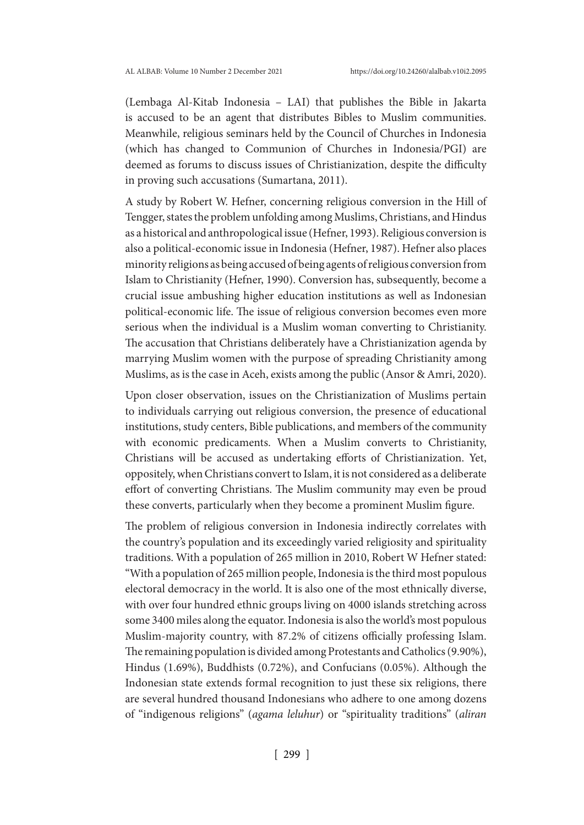(Lembaga Al-Kitab Indonesia – LAI) that publishes the Bible in Jakarta is accused to be an agent that distributes Bibles to Muslim communities. Meanwhile, religious seminars held by the Council of Churches in Indonesia (which has changed to Communion of Churches in Indonesia/PGI) are deemed as forums to discuss issues of Christianization, despite the difficulty in proving such accusations (Sumartana, 2011).

A study by Robert W. Hefner, concerning religious conversion in the Hill of Tengger, states the problem unfolding among Muslims, Christians, and Hindus as a historical and anthropological issue (Hefner, 1993). Religious conversion is also a political-economic issue in Indonesia (Hefner, 1987). Hefner also places minority religions as being accused of being agents of religious conversion from Islam to Christianity (Hefner, 1990). Conversion has, subsequently, become a crucial issue ambushing higher education institutions as well as Indonesian political-economic life. The issue of religious conversion becomes even more serious when the individual is a Muslim woman converting to Christianity. The accusation that Christians deliberately have a Christianization agenda by marrying Muslim women with the purpose of spreading Christianity among Muslims, as is the case in Aceh, exists among the public (Ansor & Amri, 2020).

Upon closer observation, issues on the Christianization of Muslims pertain to individuals carrying out religious conversion, the presence of educational institutions, study centers, Bible publications, and members of the community with economic predicaments. When a Muslim converts to Christianity, Christians will be accused as undertaking efforts of Christianization. Yet, oppositely, when Christians convert to Islam, it is not considered as a deliberate effort of converting Christians. The Muslim community may even be proud these converts, particularly when they become a prominent Muslim figure.

The problem of religious conversion in Indonesia indirectly correlates with the country's population and its exceedingly varied religiosity and spirituality traditions. With a population of 265 million in 2010, Robert W Hefner stated: "With a population of 265 million people, Indonesia is the third most populous electoral democracy in the world. It is also one of the most ethnically diverse, with over four hundred ethnic groups living on 4000 islands stretching across some 3400 miles along the equator. Indonesia is also the world's most populous Muslim-majority country, with 87.2% of citizens officially professing Islam. The remaining population is divided among Protestants and Catholics (9.90%), Hindus (1.69%), Buddhists (0.72%), and Confucians (0.05%). Although the Indonesian state extends formal recognition to just these six religions, there are several hundred thousand Indonesians who adhere to one among dozens of "indigenous religions" (*agama leluhur*) or "spirituality traditions" (*aliran*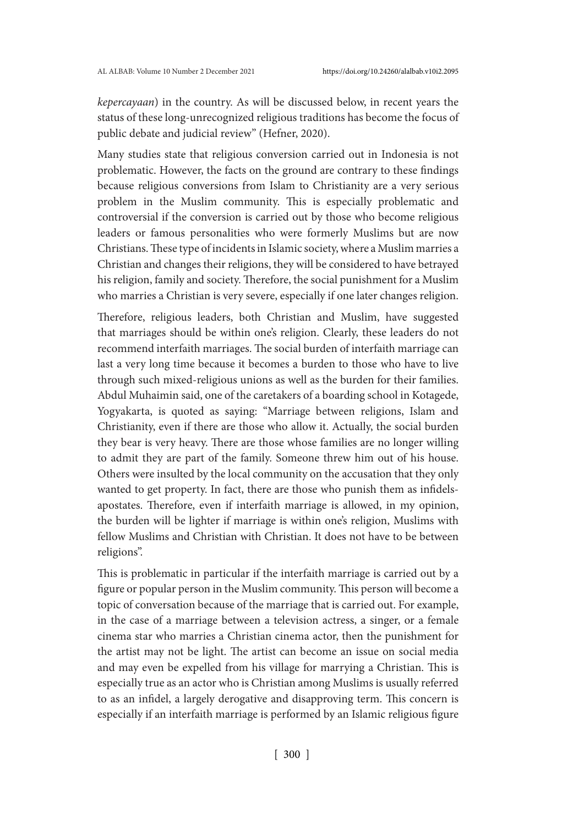*kepercayaan*) in the country. As will be discussed below, in recent years the status of these long-unrecognized religious traditions has become the focus of public debate and judicial review" (Hefner, 2020).

Many studies state that religious conversion carried out in Indonesia is not problematic. However, the facts on the ground are contrary to these findings because religious conversions from Islam to Christianity are a very serious problem in the Muslim community. This is especially problematic and controversial if the conversion is carried out by those who become religious leaders or famous personalities who were formerly Muslims but are now Christians. These type of incidents in Islamic society, where a Muslim marries a Christian and changes their religions, they will be considered to have betrayed his religion, family and society. Therefore, the social punishment for a Muslim who marries a Christian is very severe, especially if one later changes religion.

Therefore, religious leaders, both Christian and Muslim, have suggested that marriages should be within one's religion. Clearly, these leaders do not recommend interfaith marriages. The social burden of interfaith marriage can last a very long time because it becomes a burden to those who have to live through such mixed-religious unions as well as the burden for their families. Abdul Muhaimin said, one of the caretakers of a boarding school in Kotagede, Yogyakarta, is quoted as saying: "Marriage between religions, Islam and Christianity, even if there are those who allow it. Actually, the social burden they bear is very heavy. There are those whose families are no longer willing to admit they are part of the family. Someone threw him out of his house. Others were insulted by the local community on the accusation that they only wanted to get property. In fact, there are those who punish them as infidelsapostates. Therefore, even if interfaith marriage is allowed, in my opinion, the burden will be lighter if marriage is within one's religion, Muslims with fellow Muslims and Christian with Christian. It does not have to be between religions".

This is problematic in particular if the interfaith marriage is carried out by a figure or popular person in the Muslim community. This person will become a topic of conversation because of the marriage that is carried out. For example, in the case of a marriage between a television actress, a singer, or a female cinema star who marries a Christian cinema actor, then the punishment for the artist may not be light. The artist can become an issue on social media and may even be expelled from his village for marrying a Christian. This is especially true as an actor who is Christian among Muslims is usually referred to as an infidel, a largely derogative and disapproving term. This concern is especially if an interfaith marriage is performed by an Islamic religious figure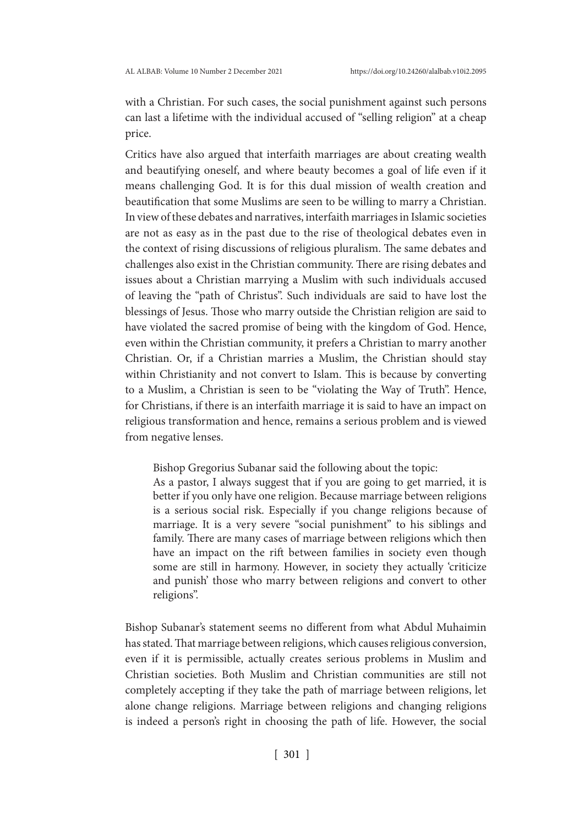with a Christian. For such cases, the social punishment against such persons can last a lifetime with the individual accused of "selling religion" at a cheap price.

Critics have also argued that interfaith marriages are about creating wealth and beautifying oneself, and where beauty becomes a goal of life even if it means challenging God. It is for this dual mission of wealth creation and beautification that some Muslims are seen to be willing to marry a Christian. In view of these debates and narratives, interfaith marriages in Islamic societies are not as easy as in the past due to the rise of theological debates even in the context of rising discussions of religious pluralism. The same debates and challenges also exist in the Christian community. There are rising debates and issues about a Christian marrying a Muslim with such individuals accused of leaving the "path of Christus". Such individuals are said to have lost the blessings of Jesus. Those who marry outside the Christian religion are said to have violated the sacred promise of being with the kingdom of God. Hence, even within the Christian community, it prefers a Christian to marry another Christian. Or, if a Christian marries a Muslim, the Christian should stay within Christianity and not convert to Islam. This is because by converting to a Muslim, a Christian is seen to be "violating the Way of Truth". Hence, for Christians, if there is an interfaith marriage it is said to have an impact on religious transformation and hence, remains a serious problem and is viewed from negative lenses.

Bishop Gregorius Subanar said the following about the topic:

As a pastor, I always suggest that if you are going to get married, it is better if you only have one religion. Because marriage between religions is a serious social risk. Especially if you change religions because of marriage. It is a very severe "social punishment" to his siblings and family. There are many cases of marriage between religions which then have an impact on the rift between families in society even though some are still in harmony. However, in society they actually 'criticize and punish' those who marry between religions and convert to other religions".

Bishop Subanar's statement seems no different from what Abdul Muhaimin has stated. That marriage between religions, which causes religious conversion, even if it is permissible, actually creates serious problems in Muslim and Christian societies. Both Muslim and Christian communities are still not completely accepting if they take the path of marriage between religions, let alone change religions. Marriage between religions and changing religions is indeed a person's right in choosing the path of life. However, the social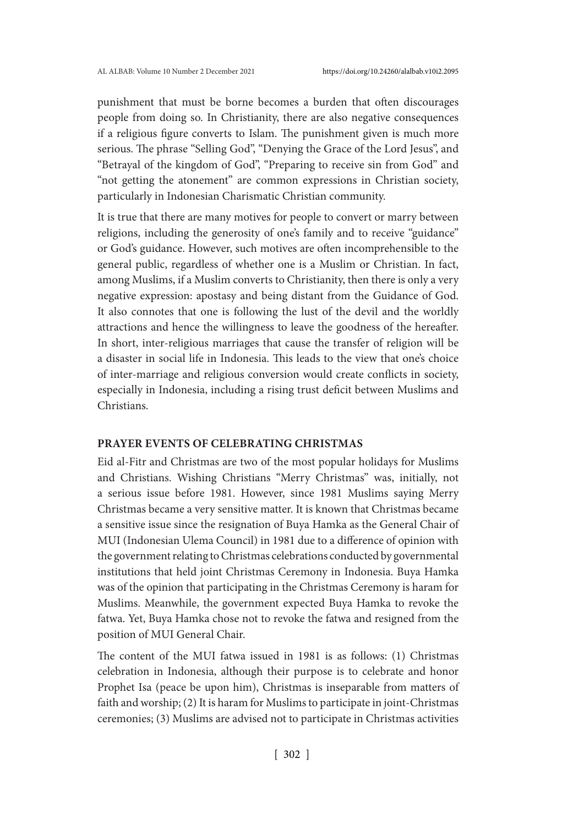punishment that must be borne becomes a burden that often discourages people from doing so. In Christianity, there are also negative consequences if a religious figure converts to Islam. The punishment given is much more serious. The phrase "Selling God", "Denying the Grace of the Lord Jesus", and "Betrayal of the kingdom of God", "Preparing to receive sin from God" and "not getting the atonement" are common expressions in Christian society, particularly in Indonesian Charismatic Christian community.

It is true that there are many motives for people to convert or marry between religions, including the generosity of one's family and to receive "guidance" or God's guidance. However, such motives are often incomprehensible to the general public, regardless of whether one is a Muslim or Christian. In fact, among Muslims, if a Muslim converts to Christianity, then there is only a very negative expression: apostasy and being distant from the Guidance of God. It also connotes that one is following the lust of the devil and the worldly attractions and hence the willingness to leave the goodness of the hereafter. In short, inter-religious marriages that cause the transfer of religion will be a disaster in social life in Indonesia. This leads to the view that one's choice of inter-marriage and religious conversion would create conflicts in society, especially in Indonesia, including a rising trust deficit between Muslims and Christians.

## **PRAYER EVENTS OF CELEBRATING CHRISTMAS**

Eid al-Fitr and Christmas are two of the most popular holidays for Muslims and Christians. Wishing Christians "Merry Christmas" was, initially, not a serious issue before 1981. However, since 1981 Muslims saying Merry Christmas became a very sensitive matter. It is known that Christmas became a sensitive issue since the resignation of Buya Hamka as the General Chair of MUI (Indonesian Ulema Council) in 1981 due to a difference of opinion with the government relating to Christmas celebrations conducted by governmental institutions that held joint Christmas Ceremony in Indonesia. Buya Hamka was of the opinion that participating in the Christmas Ceremony is haram for Muslims. Meanwhile, the government expected Buya Hamka to revoke the fatwa. Yet, Buya Hamka chose not to revoke the fatwa and resigned from the position of MUI General Chair.

The content of the MUI fatwa issued in 1981 is as follows: (1) Christmas celebration in Indonesia, although their purpose is to celebrate and honor Prophet Isa (peace be upon him), Christmas is inseparable from matters of faith and worship; (2) It is haram for Muslims to participate in joint-Christmas ceremonies; (3) Muslims are advised not to participate in Christmas activities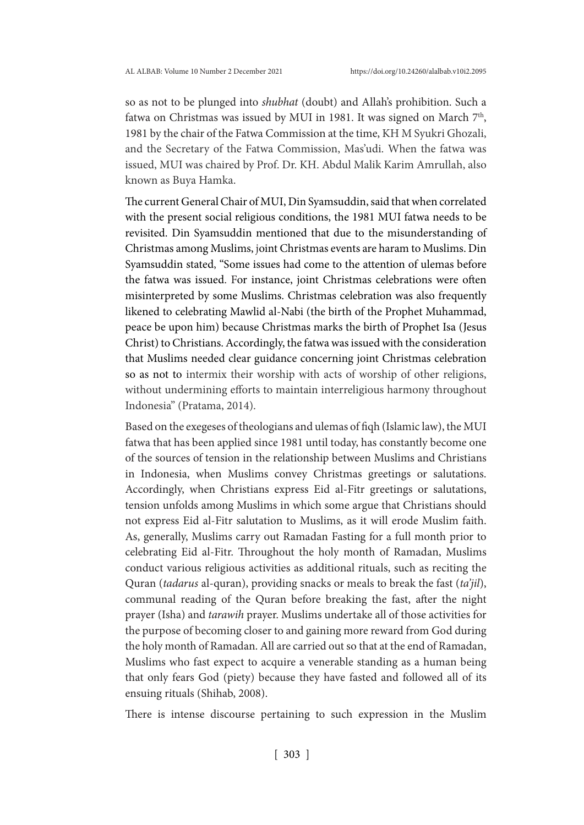so as not to be plunged into *shubhat* (doubt) and Allah's prohibition. Such a fatwa on Christmas was issued by MUI in 1981. It was signed on March 7<sup>th</sup>, 1981 by the chair of the Fatwa Commission at the time, KH M Syukri Ghozali, and the Secretary of the Fatwa Commission, Mas'udi. When the fatwa was issued, MUI was chaired by Prof. Dr. KH. Abdul Malik Karim Amrullah, also known as Buya Hamka.

The current General Chair of MUI, Din Syamsuddin, said that when correlated with the present social religious conditions, the 1981 MUI fatwa needs to be revisited. Din Syamsuddin mentioned that due to the misunderstanding of Christmas among Muslims, joint Christmas events are haram to Muslims. Din Syamsuddin stated, "Some issues had come to the attention of ulemas before the fatwa was issued. For instance, joint Christmas celebrations were often misinterpreted by some Muslims. Christmas celebration was also frequently likened to celebrating Mawlid al-Nabi (the birth of the Prophet Muhammad, peace be upon him) because Christmas marks the birth of Prophet Isa (Jesus Christ) to Christians. Accordingly, the fatwa was issued with the consideration that Muslims needed clear guidance concerning joint Christmas celebration so as not to intermix their worship with acts of worship of other religions, without undermining efforts to maintain interreligious harmony throughout Indonesia" (Pratama, 2014).

Based on the exegeses of theologians and ulemas of fiqh (Islamic law), the MUI fatwa that has been applied since 1981 until today, has constantly become one of the sources of tension in the relationship between Muslims and Christians in Indonesia, when Muslims convey Christmas greetings or salutations. Accordingly, when Christians express Eid al-Fitr greetings or salutations, tension unfolds among Muslims in which some argue that Christians should not express Eid al-Fitr salutation to Muslims, as it will erode Muslim faith. As, generally, Muslims carry out Ramadan Fasting for a full month prior to celebrating Eid al-Fitr. Throughout the holy month of Ramadan, Muslims conduct various religious activities as additional rituals, such as reciting the Quran (*tadarus* al-quran), providing snacks or meals to break the fast (*ta'jil*), communal reading of the Quran before breaking the fast, after the night prayer (Isha) and *tarawih* prayer. Muslims undertake all of those activities for the purpose of becoming closer to and gaining more reward from God during the holy month of Ramadan. All are carried out so that at the end of Ramadan, Muslims who fast expect to acquire a venerable standing as a human being that only fears God (piety) because they have fasted and followed all of its ensuing rituals (Shihab, 2008).

There is intense discourse pertaining to such expression in the Muslim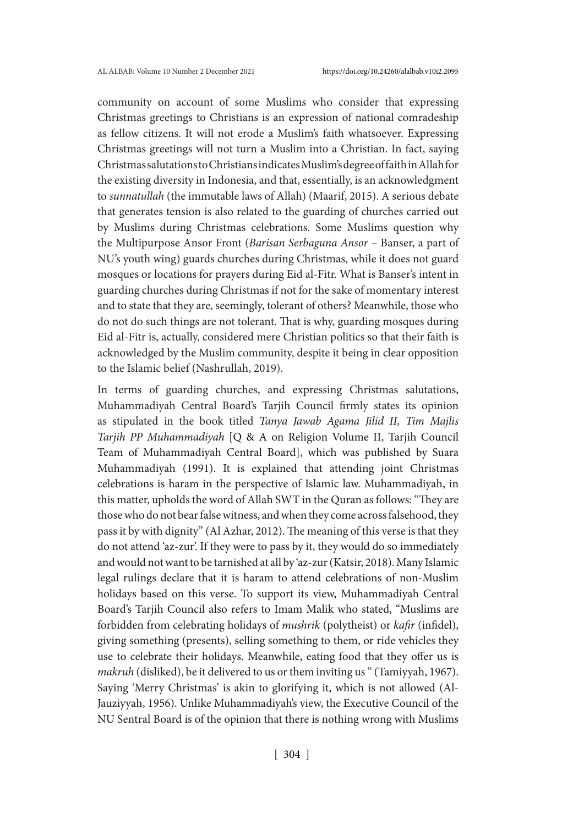community on account of some Muslims who consider that expressing Christmas greetings to Christians is an expression of national comradeship as fellow citizens. It will not erode a Muslim's faith whatsoever. Expressing Christmas greetings will not turn a Muslim into a Christian. In fact, saying Christmas salutations to Christians indicates Muslim's degree of faith in Allah for the existing diversity in Indonesia, and that, essentially, is an acknowledgment to *sunnatullah* (the immutable laws of Allah) (Maarif, 2015). A serious debate that generates tension is also related to the guarding of churches carried out by Muslims during Christmas celebrations. Some Muslims question why the Multipurpose Ansor Front (*Barisan Serbaguna Ansor –* Banser, a part of NU's youth wing) guards churches during Christmas, while it does not guard mosques or locations for prayers during Eid al-Fitr. What is Banser's intent in guarding churches during Christmas if not for the sake of momentary interest and to state that they are, seemingly, tolerant of others? Meanwhile, those who do not do such things are not tolerant. That is why, guarding mosques during Eid al-Fitr is, actually, considered mere Christian politics so that their faith is acknowledged by the Muslim community, despite it being in clear opposition to the Islamic belief (Nashrullah, 2019).

In terms of guarding churches, and expressing Christmas salutations, Muhammadiyah Central Board's Tarjih Council firmly states its opinion as stipulated in the book titled *Tanya Jawab Agama Jilid II, Tim Majlis Tarjih PP Muhammadiyah* [Q & A on Religion Volume II, Tarjih Council Team of Muhammadiyah Central Board], which was published by Suara Muhammadiyah (1991). It is explained that attending joint Christmas celebrations is haram in the perspective of Islamic law. Muhammadiyah, in this matter, upholds the word of Allah SWT in the Quran as follows: "They are those who do not bear false witness, and when they come across falsehood, they pass it by with dignity" (Al Azhar, 2012). The meaning of this verse is that they do not attend 'az-zur'. If they were to pass by it, they would do so immediately and would not want to be tarnished at all by 'az-zur (Katsir, 2018). Many Islamic legal rulings declare that it is haram to attend celebrations of non-Muslim holidays based on this verse. To support its view, Muhammadiyah Central Board's Tarjih Council also refers to Imam Malik who stated, "Muslims are forbidden from celebrating holidays of *mushrik* (polytheist) or *kafir* (infidel), giving something (presents), selling something to them, or ride vehicles they use to celebrate their holidays. Meanwhile, eating food that they offer us is *makruh* (disliked), be it delivered to us or them inviting us " (Tamiyyah, 1967). Saying 'Merry Christmas' is akin to glorifying it, which is not allowed (Al-Jauziyyah, 1956). Unlike Muhammadiyah's view, the Executive Council of the NU Sentral Board is of the opinion that there is nothing wrong with Muslims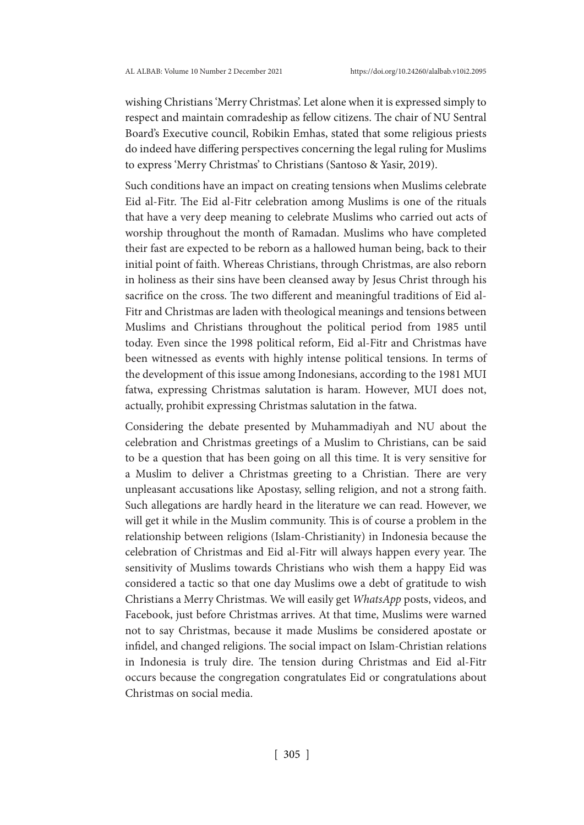wishing Christians 'Merry Christmas'. Let alone when it is expressed simply to respect and maintain comradeship as fellow citizens. The chair of NU Sentral Board's Executive council, Robikin Emhas, stated that some religious priests do indeed have differing perspectives concerning the legal ruling for Muslims to express 'Merry Christmas' to Christians (Santoso & Yasir, 2019).

Such conditions have an impact on creating tensions when Muslims celebrate Eid al-Fitr. The Eid al-Fitr celebration among Muslims is one of the rituals that have a very deep meaning to celebrate Muslims who carried out acts of worship throughout the month of Ramadan. Muslims who have completed their fast are expected to be reborn as a hallowed human being, back to their initial point of faith. Whereas Christians, through Christmas, are also reborn in holiness as their sins have been cleansed away by Jesus Christ through his sacrifice on the cross. The two different and meaningful traditions of Eid al-Fitr and Christmas are laden with theological meanings and tensions between Muslims and Christians throughout the political period from 1985 until today. Even since the 1998 political reform, Eid al-Fitr and Christmas have been witnessed as events with highly intense political tensions. In terms of the development of this issue among Indonesians, according to the 1981 MUI fatwa, expressing Christmas salutation is haram. However, MUI does not, actually, prohibit expressing Christmas salutation in the fatwa.

Considering the debate presented by Muhammadiyah and NU about the celebration and Christmas greetings of a Muslim to Christians, can be said to be a question that has been going on all this time. It is very sensitive for a Muslim to deliver a Christmas greeting to a Christian. There are very unpleasant accusations like Apostasy, selling religion, and not a strong faith. Such allegations are hardly heard in the literature we can read. However, we will get it while in the Muslim community. This is of course a problem in the relationship between religions (Islam-Christianity) in Indonesia because the celebration of Christmas and Eid al-Fitr will always happen every year. The sensitivity of Muslims towards Christians who wish them a happy Eid was considered a tactic so that one day Muslims owe a debt of gratitude to wish Christians a Merry Christmas. We will easily get *WhatsApp* posts, videos, and Facebook, just before Christmas arrives. At that time, Muslims were warned not to say Christmas, because it made Muslims be considered apostate or infidel, and changed religions. The social impact on Islam-Christian relations in Indonesia is truly dire. The tension during Christmas and Eid al-Fitr occurs because the congregation congratulates Eid or congratulations about Christmas on social media.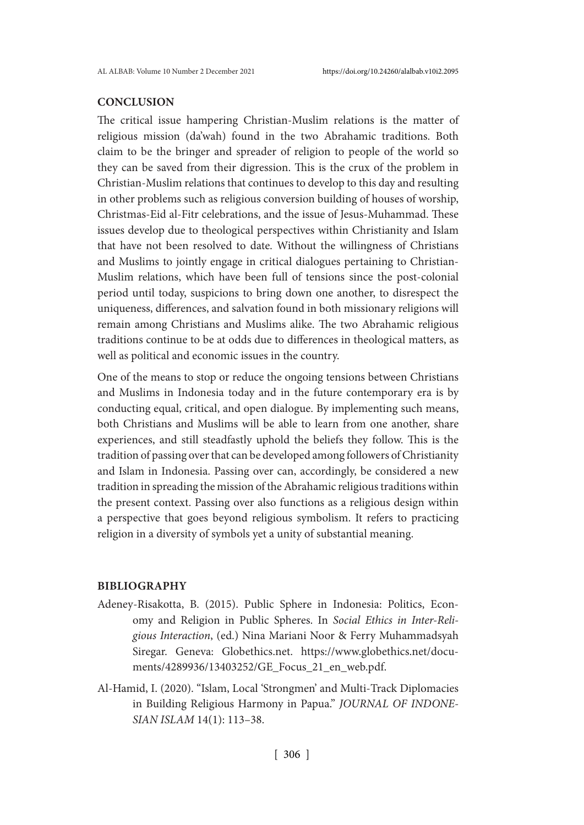## **CONCLUSION**

The critical issue hampering Christian-Muslim relations is the matter of religious mission (da'wah) found in the two Abrahamic traditions. Both claim to be the bringer and spreader of religion to people of the world so they can be saved from their digression. This is the crux of the problem in Christian-Muslim relations that continues to develop to this day and resulting in other problems such as religious conversion building of houses of worship, Christmas-Eid al-Fitr celebrations, and the issue of Jesus-Muhammad. These issues develop due to theological perspectives within Christianity and Islam that have not been resolved to date. Without the willingness of Christians and Muslims to jointly engage in critical dialogues pertaining to Christian-Muslim relations, which have been full of tensions since the post-colonial period until today, suspicions to bring down one another, to disrespect the uniqueness, differences, and salvation found in both missionary religions will remain among Christians and Muslims alike. The two Abrahamic religious traditions continue to be at odds due to differences in theological matters, as well as political and economic issues in the country.

One of the means to stop or reduce the ongoing tensions between Christians and Muslims in Indonesia today and in the future contemporary era is by conducting equal, critical, and open dialogue. By implementing such means, both Christians and Muslims will be able to learn from one another, share experiences, and still steadfastly uphold the beliefs they follow. This is the tradition of passing over that can be developed among followers of Christianity and Islam in Indonesia. Passing over can, accordingly, be considered a new tradition in spreading the mission of the Abrahamic religious traditions within the present context. Passing over also functions as a religious design within a perspective that goes beyond religious symbolism. It refers to practicing religion in a diversity of symbols yet a unity of substantial meaning.

## **BIBLIOGRAPHY**

- Adeney-Risakotta, B. (2015). Public Sphere in Indonesia: Politics, Economy and Religion in Public Spheres. In *Social Ethics in Inter-Religious Interaction*, (ed.) Nina Mariani Noor & Ferry Muhammadsyah Siregar. Geneva: Globethics.net. https://www.globethics.net/documents/4289936/13403252/GE\_Focus\_21\_en\_web.pdf.
- Al-Hamid, I. (2020). "Islam, Local 'Strongmen' and Multi-Track Diplomacies in Building Religious Harmony in Papua." *JOURNAL OF INDONE-SIAN ISLAM* 14(1): 113–38.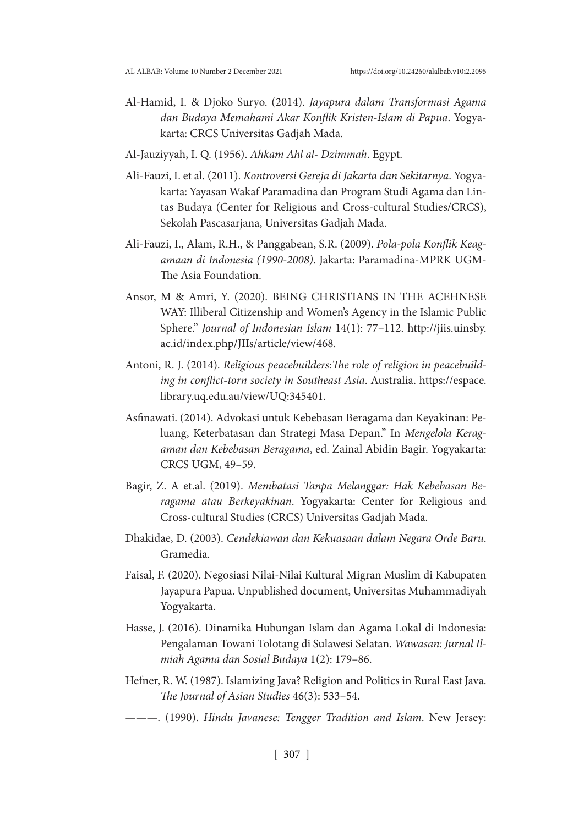- Al-Hamid, I. & Djoko Suryo. (2014). *Jayapura dalam Transformasi Agama dan Budaya Memahami Akar Konflik Kristen-Islam di Papua*. Yogyakarta: CRCS Universitas Gadjah Mada.
- Al-Jauziyyah, I. Q. (1956). *Ahkam Ahl al- Dzimmah*. Egypt.
- Ali-Fauzi, I. et al. (2011). *Kontroversi Gereja di Jakarta dan Sekitarnya*. Yogyakarta: Yayasan Wakaf Paramadina dan Program Studi Agama dan Lintas Budaya (Center for Religious and Cross-cultural Studies/CRCS), Sekolah Pascasarjana, Universitas Gadjah Mada.
- Ali-Fauzi, I., Alam, R.H., & Panggabean, S.R. (2009). *Pola-pola Konflik Keagamaan di Indonesia (1990-2008)*. Jakarta: Paramadina-MPRK UGM-The Asia Foundation.
- Ansor, M & Amri, Y. (2020). BEING CHRISTIANS IN THE ACEHNESE WAY: Illiberal Citizenship and Women's Agency in the Islamic Public Sphere." *Journal of Indonesian Islam* 14(1): 77–112. http://jiis.uinsby. ac.id/index.php/JIIs/article/view/468.
- Antoni, R. J. (2014). *Religious peacebuilders:The role of religion in peacebuilding in conflict-torn society in Southeast Asia*. Australia. https://espace. library.uq.edu.au/view/UQ:345401.
- Asfinawati. (2014). Advokasi untuk Kebebasan Beragama dan Keyakinan: Peluang, Keterbatasan dan Strategi Masa Depan." In *Mengelola Keragaman dan Kebebasan Beragama*, ed. Zainal Abidin Bagir. Yogyakarta: CRCS UGM, 49–59.
- Bagir, Z. A et.al. (2019). *Membatasi Tanpa Melanggar: Hak Kebebasan Beragama atau Berkeyakinan*. Yogyakarta: Center for Religious and Cross-cultural Studies (CRCS) Universitas Gadjah Mada.
- Dhakidae, D. (2003). *Cendekiawan dan Kekuasaan dalam Negara Orde Baru*. Gramedia.
- Faisal, F. (2020). Negosiasi Nilai-Nilai Kultural Migran Muslim di Kabupaten Jayapura Papua. Unpublished document, Universitas Muhammadiyah Yogyakarta.
- Hasse, J. (2016). Dinamika Hubungan Islam dan Agama Lokal di Indonesia: Pengalaman Towani Tolotang di Sulawesi Selatan. *Wawasan: Jurnal Ilmiah Agama dan Sosial Budaya* 1(2): 179–86.
- Hefner, R. W. (1987). Islamizing Java? Religion and Politics in Rural East Java. *The Journal of Asian Studies* 46(3): 533–54.
- ———. (1990). *Hindu Javanese: Tengger Tradition and Islam*. New Jersey: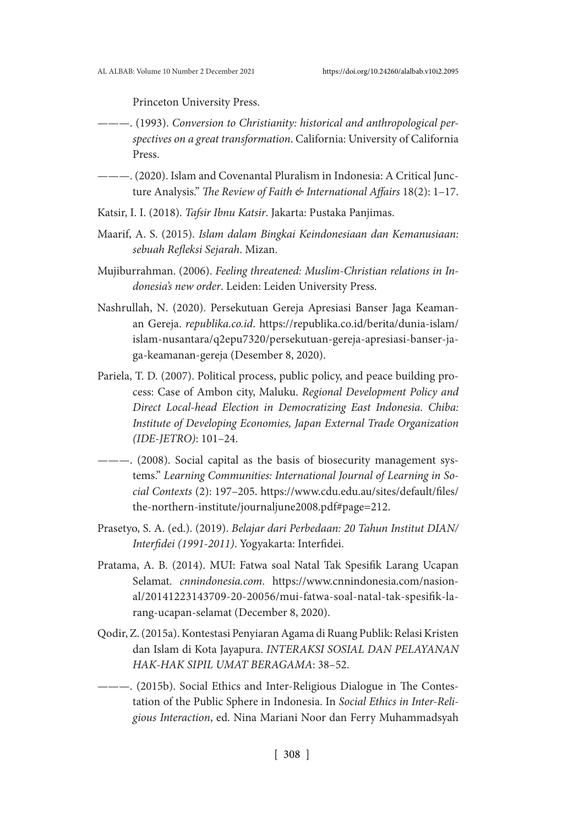Princeton University Press.

- ———. (1993). *Conversion to Christianity: historical and anthropological perspectives on a great transformation*. California: University of California Press.
- ———. (2020). Islam and Covenantal Pluralism in Indonesia: A Critical Juncture Analysis." *The Review of Faith & International Affairs* 18(2): 1–17.
- Katsir, I. I. (2018). *Tafsir Ibnu Katsir*. Jakarta: Pustaka Panjimas.
- Maarif, A. S. (2015). *Islam dalam Bingkai Keindonesiaan dan Kemanusiaan: sebuah Refleksi Sejarah*. Mizan.
- Mujiburrahman. (2006). *Feeling threatened: Muslim-Christian relations in Indonesia's new order*. Leiden: Leiden University Press.
- Nashrullah, N. (2020). Persekutuan Gereja Apresiasi Banser Jaga Keamanan Gereja. *republika.co.id*. https://republika.co.id/berita/dunia-islam/ islam-nusantara/q2epu7320/persekutuan-gereja-apresiasi-banser-jaga-keamanan-gereja (Desember 8, 2020).
- Pariela, T. D. (2007). Political process, public policy, and peace building process: Case of Ambon city, Maluku. *Regional Development Policy and Direct Local-head Election in Democratizing East Indonesia. Chiba: Institute of Developing Economies, Japan External Trade Organization (IDE-JETRO)*: 101–24.
- ———. (2008). Social capital as the basis of biosecurity management systems." *Learning Communities: International Journal of Learning in Social Contexts* (2): 197–205. https://www.cdu.edu.au/sites/default/files/ the-northern-institute/journaljune2008.pdf#page=212.
- Prasetyo, S. A. (ed.). (2019). *Belajar dari Perbedaan: 20 Tahun Institut DIAN/ Interfidei (1991-2011)*. Yogyakarta: Interfidei.
- Pratama, A. B. (2014). MUI: Fatwa soal Natal Tak Spesifik Larang Ucapan Selamat. *cnnindonesia.com*. https://www.cnnindonesia.com/nasional/20141223143709-20-20056/mui-fatwa-soal-natal-tak-spesifik-larang-ucapan-selamat (December 8, 2020).
- Qodir, Z. (2015a). Kontestasi Penyiaran Agama di Ruang Publik: Relasi Kristen dan Islam di Kota Jayapura. *INTERAKSI SOSIAL DAN PELAYANAN HAK-HAK SIPIL UMAT BERAGAMA*: 38–52.
- ———. (2015b). Social Ethics and Inter-Religious Dialogue in The Contestation of the Public Sphere in Indonesia. In *Social Ethics in Inter-Religious Interaction*, ed. Nina Mariani Noor dan Ferry Muhammadsyah